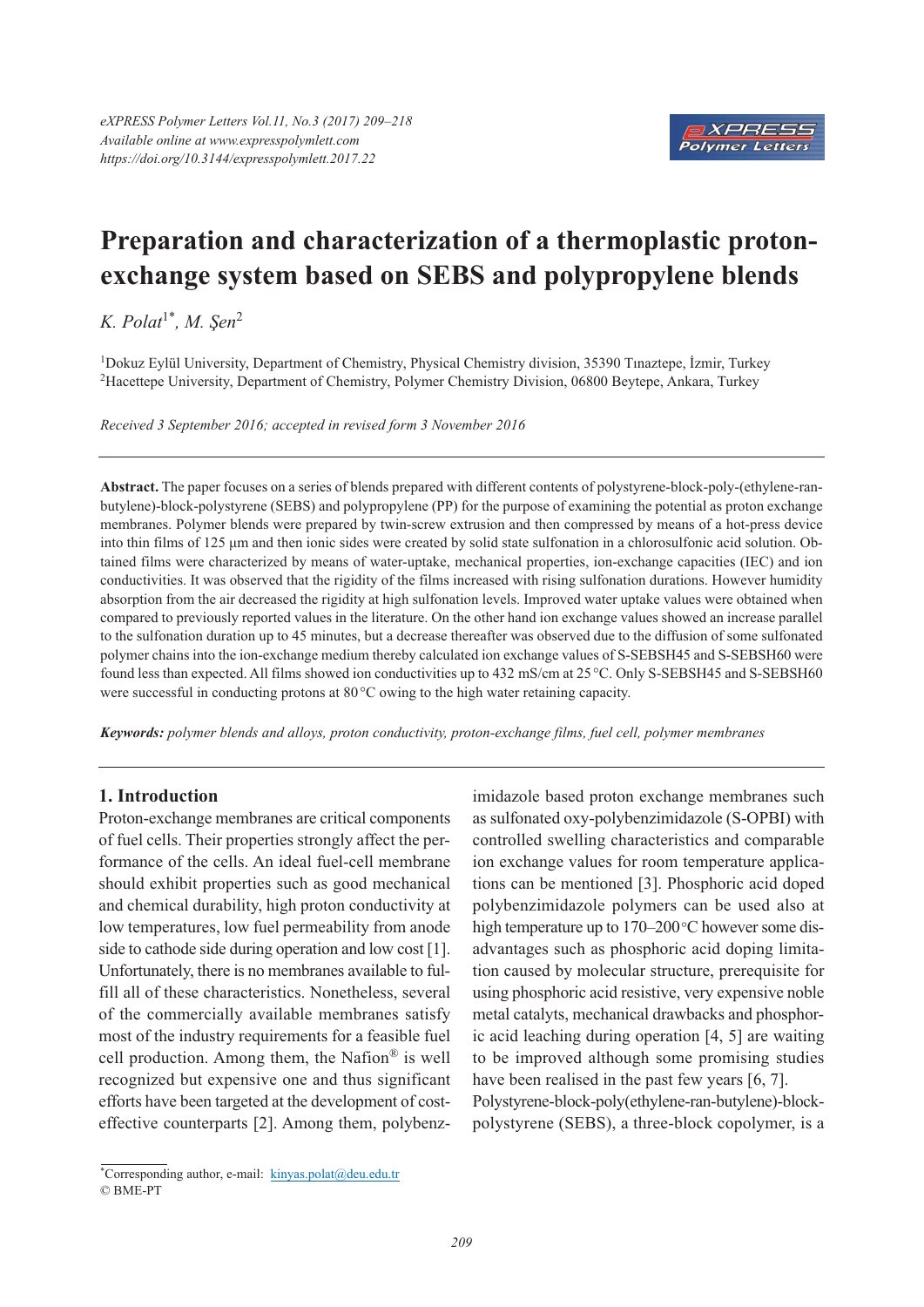

# **Preparation and characterization of a thermoplastic protonexchange system based on SEBS and polypropylene blends**

*K. Polat*1*\* , M. Şen*<sup>2</sup>

1Dokuz Eylül University, Department of Chemistry, Physical Chemistry division, 35390 Tınaztepe, İzmir, Turkey 2Hacettepe University, Department of Chemistry, Polymer Chemistry Division, 06800 Beytepe, Ankara, Turkey

*Received 3 September 2016; accepted in revised form 3 November 2016*

**Abstract.** The paper focuses on a series of blends prepared with different contents of polystyrene-block-poly-(ethylene-ranbutylene)-block-polystyrene (SEBS) and polypropylene (PP) for the purpose of examining the potential as proton exchange membranes. Polymer blends were prepared by twin-screw extrusion and then compressed by means of a hot-press device into thin films of 125 μm and then ionic sides were created by solid state sulfonation in a chlorosulfonic acid solution. Obtained films were characterized by means of water-uptake, mechanical properties, ion-exchange capacities (IEC) and ion conductivities. It was observed that the rigidity of the films increased with rising sulfonation durations. However humidity absorption from the air decreased the rigidity at high sulfonation levels. Improved water uptake values were obtained when compared to previously reported values in the literature. On the other hand ion exchange values showed an increase parallel to the sulfonation duration up to 45 minutes, but a decrease thereafter was observed due to the diffusion of some sulfonated polymer chains into the ion-exchange medium thereby calculated ion exchange values of S-SEBSH45 and S-SEBSH60 were found less than expected. All films showed ion conductivities up to 432 mS/cm at 25°C. Only S-SEBSH45 and S-SEBSH60 were successful in conducting protons at 80 °C owing to the high water retaining capacity.

*Keywords: polymer blends and alloys, proton conductivity, proton-exchange films, fuel cell, polymer membranes*

## **1. Introduction**

Proton-exchange membranes are critical components of fuel cells. Their properties strongly affect the performance of the cells. An ideal fuel-cell membrane should exhibit properties such as good mechanical and chemical durability, high proton conductivity at low temperatures, low fuel permeability from anode side to cathode side during operation and low cost [1]. Unfortunately, there is no membranes available to fulfill all of these characteristics. Nonetheless, several of the commercially available membranes satisfy most of the industry requirements for a feasible fuel cell production. Among them, the Nafion® is well recognized but expensive one and thus significant efforts have been targeted at the development of costeffective counterparts [2]. Among them, polybenzimidazole based proton exchange membranes such as sulfonated oxy-polybenzimidazole (S-OPBI) with controlled swelling characteristics and comparable ion exchange values for room temperature applications can be mentioned [3]. Phosphoric acid doped polybenzimidazole polymers can be used also at high temperature up to 170–200 °C however some disadvantages such as phosphoric acid doping limitation caused by molecular structure, prerequisite for using phosphoric acid resistive, very expensive noble metal catalyts, mechanical drawbacks and phosphoric acid leaching during operation [4, 5] are waiting to be improved although some promising studies have been realised in the past few years [6, 7]. Polystyrene-block-poly(ethylene-ran-butylene)-block-

polystyrene (SEBS), a three-block copolymer, is a

<sup>\*</sup> Corresponding author, e-mail: kinyas.polat@deu.edu.tr © BME-PT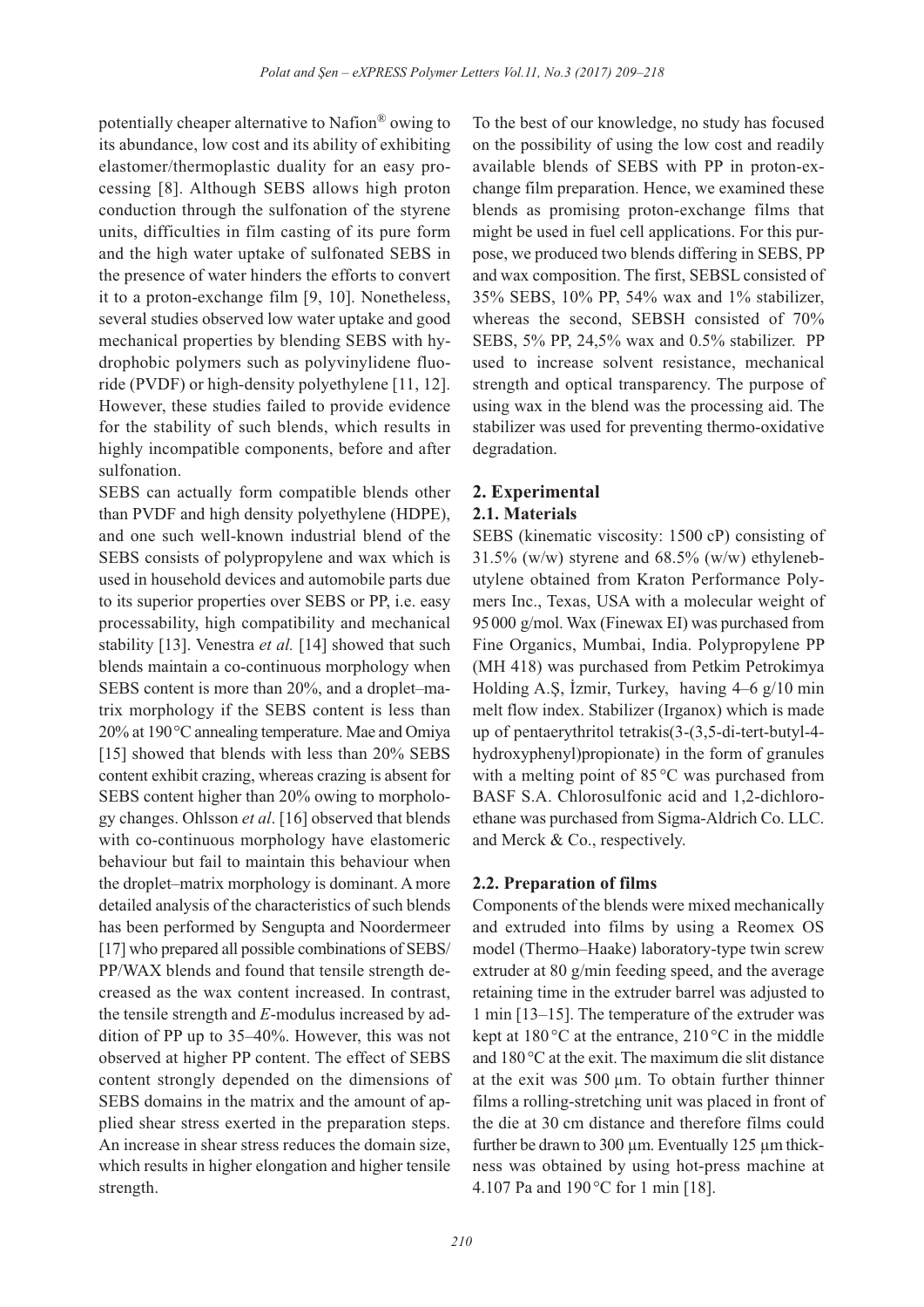potentially cheaper alternative to Nafion® owing to its abundance, low cost and its ability of exhibiting elastomer/thermoplastic duality for an easy processing [8]. Although SEBS allows high proton conduction through the sulfonation of the styrene units, difficulties in film casting of its pure form and the high water uptake of sulfonated SEBS in the presence of water hinders the efforts to convert it to a proton-exchange film [9, 10]. Nonetheless, several studies observed low water uptake and good mechanical properties by blending SEBS with hydrophobic polymers such as polyvinylidene fluoride (PVDF) or high-density polyethylene [11, 12]. However, these studies failed to provide evidence for the stability of such blends, which results in highly incompatible components, before and after sulfonation.

SEBS can actually form compatible blends other than PVDF and high density polyethylene (HDPE), and one such well-known industrial blend of the SEBS consists of polypropylene and wax which is used in household devices and automobile parts due to its superior properties over SEBS or PP, i.e. easy processability, high compatibility and mechanical stability [13]. Venestra *et al.* [14] showed that such blends maintain a co-continuous morphology when SEBS content is more than 20%, and a droplet–matrix morphology if the SEBS content is less than 20% at 190°C annealing temperature. Mae and Omiya [15] showed that blends with less than 20% SEBS content exhibit crazing, whereas crazing is absent for SEBS content higher than 20% owing to morphology changes. Ohlsson *et al*. [16] observed that blends with co-continuous morphology have elastomeric behaviour but fail to maintain this behaviour when the droplet–matrix morphology is dominant. A more detailed analysis of the characteristics of such blends has been performed by Sengupta and Noordermeer [17] who prepared all possible combinations of SEBS/ PP/WAX blends and found that tensile strength decreased as the wax content increased. In contrast, the tensile strength and *E*-modulus increased by addition of PP up to 35–40%. However, this was not observed at higher PP content. The effect of SEBS content strongly depended on the dimensions of SEBS domains in the matrix and the amount of applied shear stress exerted in the preparation steps. An increase in shear stress reduces the domain size, which results in higher elongation and higher tensile strength.

To the best of our knowledge, no study has focused on the possibility of using the low cost and readily available blends of SEBS with PP in proton-exchange film preparation. Hence, we examined these blends as promising proton-exchange films that might be used in fuel cell applications. For this purpose, we produced two blends differing in SEBS, PP and wax composition. The first, SEBSL consisted of 35% SEBS, 10% PP, 54% wax and 1% stabilizer, whereas the second, SEBSH consisted of 70% SEBS, 5% PP, 24,5% wax and 0.5% stabilizer. PP used to increase solvent resistance, mechanical strength and optical transparency. The purpose of using wax in the blend was the processing aid. The stabilizer was used for preventing thermo-oxidative degradation.

## **2. Experimental**

## **2.1. Materials**

SEBS (kinematic viscosity: 1500 cP) consisting of  $31.5\%$  (w/w) styrene and  $68.5\%$  (w/w) ethylenebutylene obtained from Kraton Performance Polymers Inc., Texas, USA with a molecular weight of 95000 g/mol. Wax (Finewax EI) was purchased from Fine Organics, Mumbai, India. Polypropylene PP (MH 418) was purchased from Petkim Petrokimya Holding A.Ş, İzmir, Turkey, having 4–6 g/10 min melt flow index. Stabilizer (Irganox) which is made up of pentaerythritol tetrakis(3-(3,5-di-tert-butyl-4 hydroxyphenyl)propionate) in the form of granules with a melting point of 85 °C was purchased from BASF S.A. Chlorosulfonic acid and 1,2-dichloroethane was purchased from Sigma-Aldrich Co. LLC. and Merck & Co., respectively.

## **2.2. Preparation of films**

Components of the blends were mixed mechanically and extruded into films by using a Reomex OS model (Thermo–Haake) laboratory-type twin screw extruder at 80 g/min feeding speed, and the average retaining time in the extruder barrel was adjusted to 1 min [13–15]. The temperature of the extruder was kept at  $180^{\circ}$ C at the entrance,  $210^{\circ}$ C in the middle and 180°C at the exit. The maximum die slit distance at the exit was 500 µm. To obtain further thinner films a rolling-stretching unit was placed in front of the die at 30 cm distance and therefore films could further be drawn to 300 µm. Eventually 125 µm thickness was obtained by using hot-press machine at 4.107 Pa and 190 °C for 1 min [18].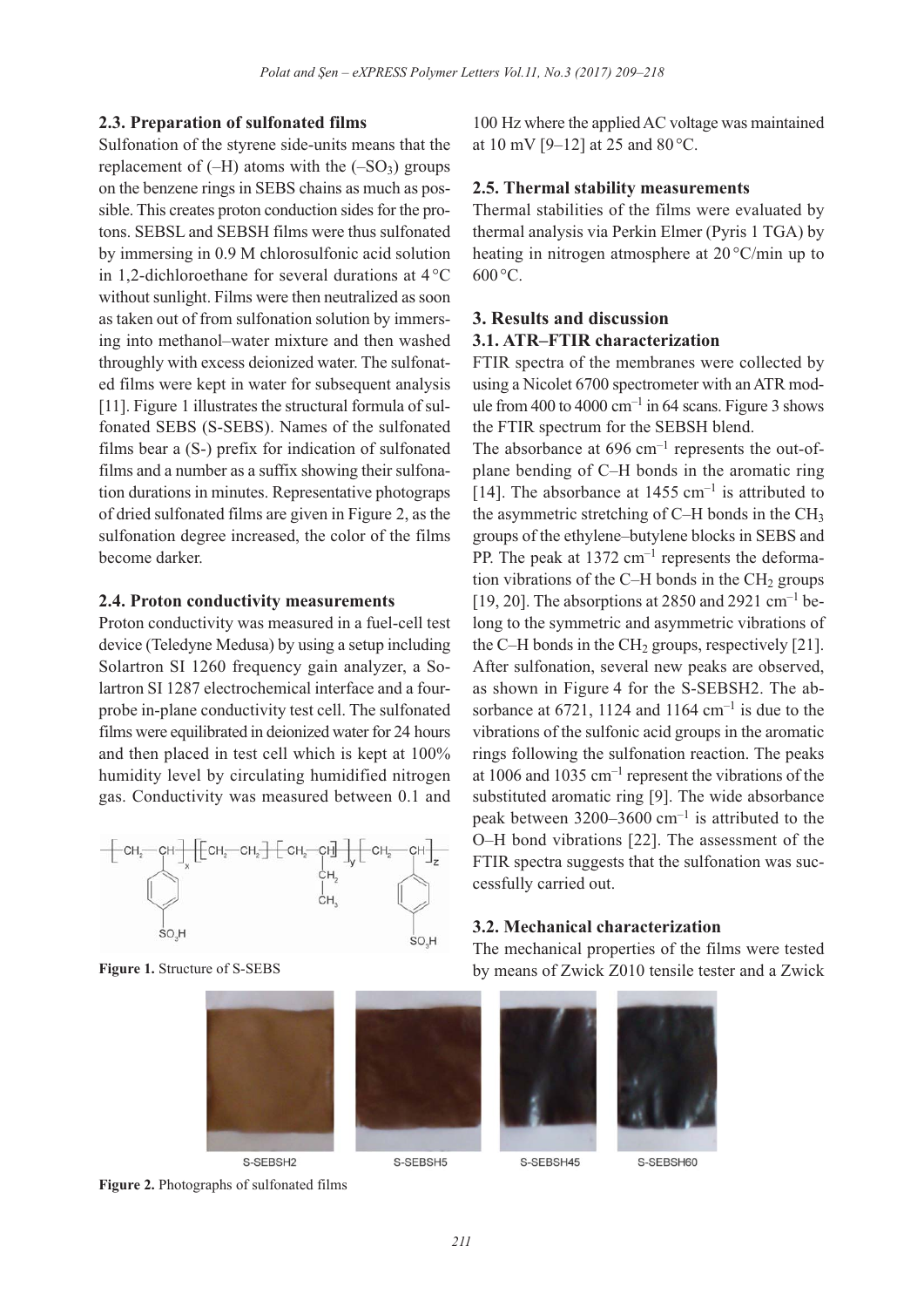#### **2.3. Preparation of sulfonated films**

Sulfonation of the styrene side-units means that the replacement of  $(-H)$  atoms with the  $(-SO<sub>3</sub>)$  groups on the benzene rings in SEBS chains as much as possible. This creates proton conduction sides for the protons. SEBSL and SEBSH films were thus sulfonated by immersing in 0.9 M chlorosulfonic acid solution in 1,2-dichloroethane for several durations at 4 °C without sunlight. Films were then neutralized as soon as taken out of from sulfonation solution by immersing into methanol–water mixture and then washed throughly with excess deionized water. The sulfonated films were kept in water for subsequent analysis [11]. Figure 1 illustrates the structural formula of sulfonated SEBS (S-SEBS). Names of the sulfonated films bear a (S-) prefix for indication of sulfonated films and a number as a suffix showing their sulfonation durations in minutes. Representative photograps of dried sulfonated films are given in Figure 2, as the sulfonation degree increased, the color of the films become darker.

#### **2.4. Proton conductivity measurements**

Proton conductivity was measured in a fuel-cell test device (Teledyne Medusa) by using a setup including Solartron SI 1260 frequency gain analyzer, a Solartron SI 1287 electrochemical interface and a fourprobe in-plane conductivity test cell. The sulfonated films were equilibrated in deionized water for 24 hours and then placed in test cell which is kept at 100% humidity level by circulating humidified nitrogen gas. Conductivity was measured between 0.1 and



**Figure 1.** Structure of S-SEBS



S-SEBSH2



100 Hz where the applied AC voltage was maintained at 10 mV [9–12] at 25 and 80 °C.

#### **2.5. Thermal stability measurements**

Thermal stabilities of the films were evaluated by thermal analysis via Perkin Elmer (Pyris 1 TGA) by heating in nitrogen atmosphere at 20 °C/min up to  $600^{\circ}$ C.

## **3. Results and discussion 3.1. ATR–FTIR characterization**

FTIR spectra of the membranes were collected by using a Nicolet 6700 spectrometer with an ATR module from 400 to 4000  $cm^{-1}$  in 64 scans. Figure 3 shows the FTIR spectrum for the SEBSH blend.

The absorbance at  $696 \text{ cm}^{-1}$  represents the out-ofplane bending of C–H bonds in the aromatic ring [14]. The absorbance at  $1455 \text{ cm}^{-1}$  is attributed to the asymmetric stretching of  $C-H$  bonds in the  $CH<sub>3</sub>$ groups of the ethylene–butylene blocks in SEBS and PP. The peak at  $1372 \text{ cm}^{-1}$  represents the deformation vibrations of the C–H bonds in the  $CH<sub>2</sub>$  groups [19, 20]. The absorptions at 2850 and 2921 cm<sup>-1</sup> belong to the symmetric and asymmetric vibrations of the C–H bonds in the CH<sub>2</sub> groups, respectively [21]. After sulfonation, several new peaks are observed, as shown in Figure 4 for the S-SEBSH2. The absorbance at  $6721$ , 1124 and 1164 cm<sup>-1</sup> is due to the vibrations of the sulfonic acid groups in the aromatic rings following the sulfonation reaction. The peaks at 1006 and 1035  $cm^{-1}$  represent the vibrations of the substituted aromatic ring [9]. The wide absorbance peak between  $3200-3600$  cm<sup>-1</sup> is attributed to the O–H bond vibrations [22]. The assessment of the FTIR spectra suggests that the sulfonation was successfully carried out.

#### **3.2. Mechanical characterization**

The mechanical properties of the films were tested by means of Zwick Z010 tensile tester and a Zwick

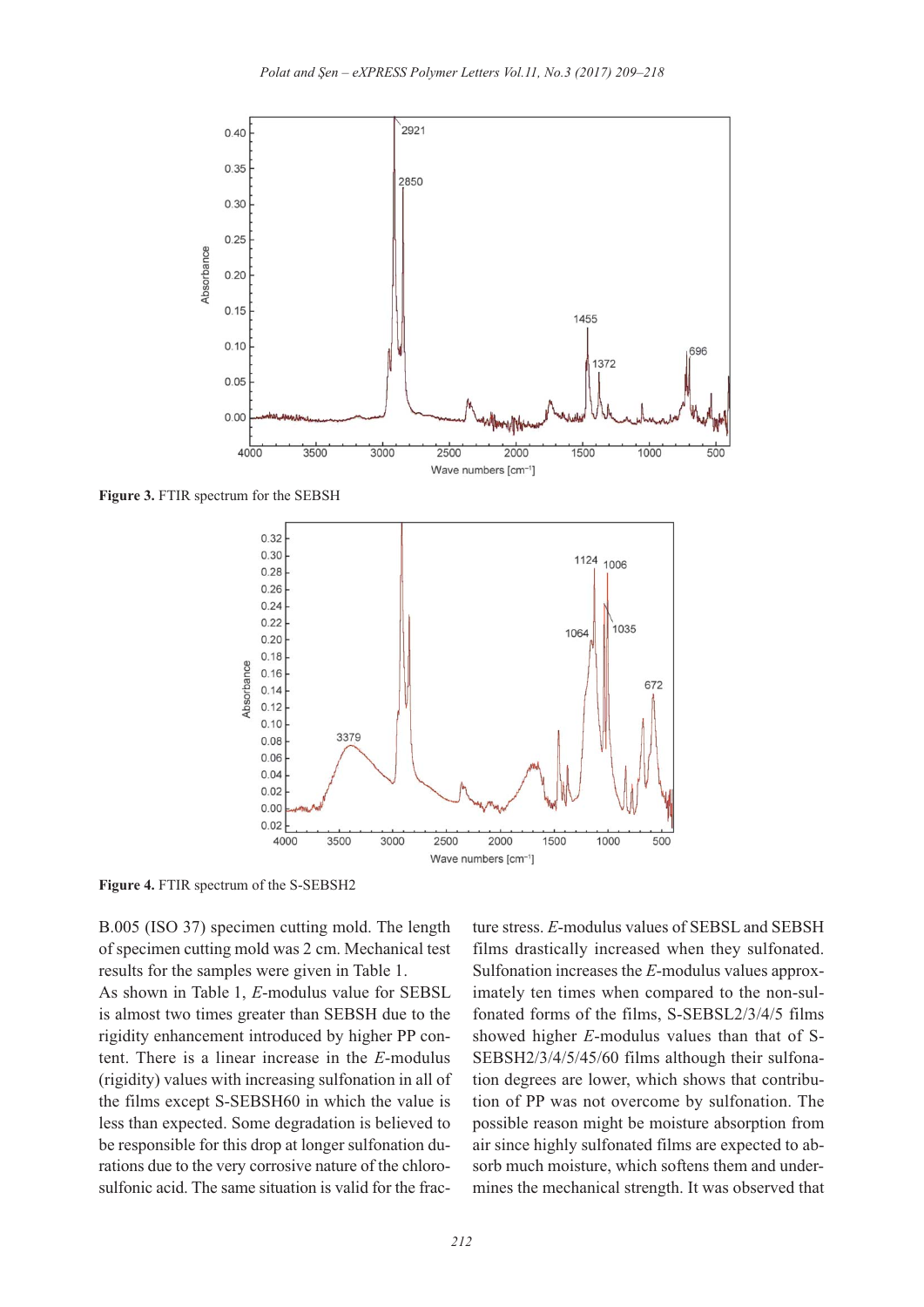

**Figure 3.** FTIR spectrum for the SEBSH



**Figure 4.** FTIR spectrum of the S-SEBSH2

B.005 (ISO 37) specimen cutting mold. The length of specimen cutting mold was 2 cm. Mechanical test results for the samples were given in Table 1.

As shown in Table 1, *E*-modulus value for SEBSL is almost two times greater than SEBSH due to the rigidity enhancement introduced by higher PP content. There is a linear increase in the *E*-modulus (rigidity) values with increasing sulfonation in all of the films except S-SEBSH60 in which the value is less than expected. Some degradation is believed to be responsible for this drop at longer sulfonation durations due to the very corrosive nature of the chlorosulfonic acid. The same situation is valid for the fracture stress. *E*-modulus values of SEBSL and SEBSH films drastically increased when they sulfonated. Sulfonation increases the *E*-modulus values approximately ten times when compared to the non-sulfonated forms of the films, S-SEBSL2/3/4/5 films showed higher *E*-modulus values than that of S-SEBSH2/3/4/5/45/60 films although their sulfonation degrees are lower, which shows that contribution of PP was not overcome by sulfonation. The possible reason might be moisture absorption from air since highly sulfonated films are expected to absorb much moisture, which softens them and undermines the mechanical strength. It was observed that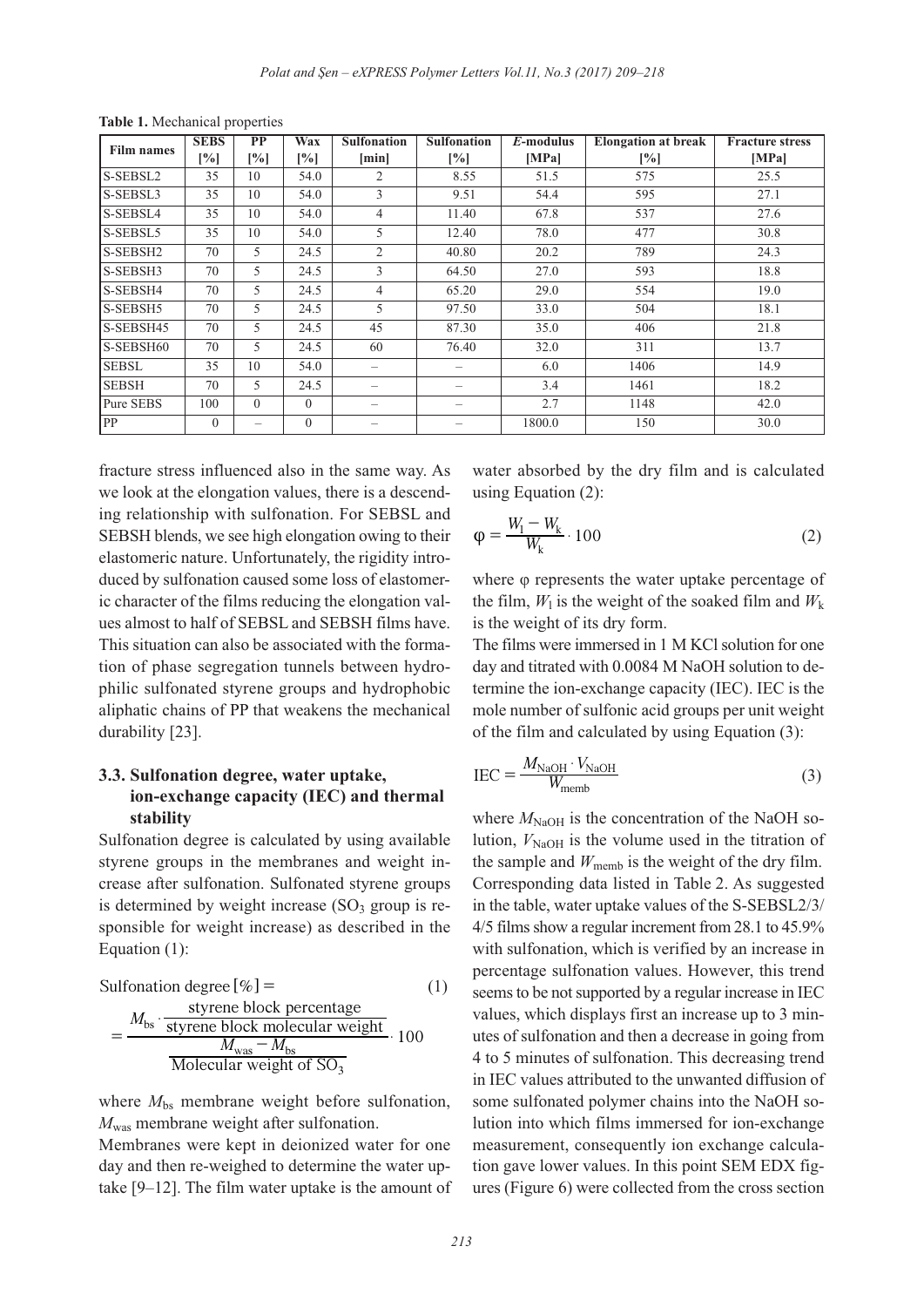| <b>Film names</b> | <b>SEBS</b>  | PP                       | Wax               | <b>Sulfonation</b>       | <b>Sulfonation</b>       | $E$ -modulus | <b>Elongation at break</b> | <b>Fracture stress</b> |
|-------------------|--------------|--------------------------|-------------------|--------------------------|--------------------------|--------------|----------------------------|------------------------|
|                   | $[\%]$       | [%]                      | $\left[\%\right]$ | [min]                    | [%]                      | [MPa]        | $[\%]$                     | [MPa]                  |
| S-SEBSL2          | 35           | 10                       | 54.0              | 2                        | 8.55                     | 51.5         | 575                        | 25.5                   |
| S-SEBSL3          | 35           | 10                       | 54.0              | 3                        | 9.51                     | 54.4         | 595                        | 27.1                   |
| S-SEBSL4          | 35           | 10                       | 54.0              | $\overline{4}$           | 11.40                    | 67.8         | 537                        | 27.6                   |
| S-SEBSL5          | 35           | 10                       | 54.0              | 5                        | 12.40                    | 78.0         | 477                        | 30.8                   |
| S-SEBSH2          | 70           | 5                        | 24.5              | $\overline{2}$           | 40.80                    | 20.2         | 789                        | 24.3                   |
| S-SEBSH3          | 70           | 5                        | 24.5              | 3                        | 64.50                    | 27.0         | 593                        | 18.8                   |
| S-SEBSH4          | 70           | 5                        | 24.5              | $\overline{4}$           | 65.20                    | 29.0         | 554                        | 19.0                   |
| S-SEBSH5          | 70           | 5                        | 24.5              | 5                        | 97.50                    | 33.0         | 504                        | 18.1                   |
| S-SEBSH45         | 70           | 5.                       | 24.5              | 45                       | 87.30                    | 35.0         | 406                        | 21.8                   |
| S-SEBSH60         | 70           | 5                        | 24.5              | 60                       | 76.40                    | 32.0         | 311                        | 13.7                   |
| <b>SEBSL</b>      | 35           | 10                       | 54.0              | $\qquad \qquad =$        | $\overline{\phantom{0}}$ | 6.0          | 1406                       | 14.9                   |
| <b>SEBSH</b>      | 70           | 5                        | 24.5              | $\qquad \qquad -$        | —                        | 3.4          | 1461                       | 18.2                   |
| Pure SEBS         | 100          | $\theta$                 | $\Omega$          | $\overline{\phantom{a}}$ | $\overline{\phantom{0}}$ | 2.7          | 1148                       | 42.0                   |
| PP                | $\mathbf{0}$ | $\overline{\phantom{m}}$ | $\mathbf{0}$      |                          | $\overline{\phantom{0}}$ | 1800.0       | 150                        | 30.0                   |

**Table 1.** Mechanical properties

fracture stress influenced also in the same way. As we look at the elongation values, there is a descending relationship with sulfonation. For SEBSL and SEBSH blends, we see high elongation owing to their elastomeric nature. Unfortunately, the rigidity introduced by sulfonation caused some loss of elastomeric character of the films reducing the elongation values almost to half of SEBSL and SEBSH films have. This situation can also be associated with the formation of phase segregation tunnels between hydrophilic sulfonated styrene groups and hydrophobic aliphatic chains of PP that weakens the mechanical durability [23].

## **3.3. Sulfonation degree, water uptake, ion-exchange capacity (IEC) and thermal stability**

Sulfonation degree is calculated by using available styrene groups in the membranes and weight increase after sulfonation. Sulfonated styrene groups is determined by weight increase  $(SO<sub>3</sub>$  group is responsible for weight increase) as described in the Equation (1):

Sulfonation degree [
$$
\%
$$
] = (1)  
\n
$$
= \frac{M_{\text{bs}} \cdot \frac{\text{styrene block percentage}}{\text{styrene block molecular weight}}}{M_{\text{was}} - M_{\text{bs}}} \cdot 100
$$
\nMolecular weight of SO<sub>3</sub>

where  $M_{bs}$  membrane weight before sulfonation, *M*was membrane weight after sulfonation.

Membranes were kept in deionized water for one day and then re-weighed to determine the water uptake [9–12]. The film water uptake is the amount of water absorbed by the dry film and is calculated using Equation (2):

$$
\varphi = \frac{W_1 - W_k}{W_k} \cdot 100\tag{2}
$$

where φ represents the water uptake percentage of the film,  $W_1$  is the weight of the soaked film and  $W_k$ is the weight of its dry form.

The films were immersed in 1 M KCl solution for one day and titrated with 0.0084 M NaOH solution to determine the ion-exchange capacity (IEC). IEC is the mole number of sulfonic acid groups per unit weight of the film and calculated by using Equation (3):

$$
IEC = \frac{M_{\text{NaOH}} \cdot V_{\text{NaOH}}}{W_{\text{memb}}}
$$
(3)

where  $M_{\text{NaOH}}$  is the concentration of the NaOH solution,  $V_{\text{NaOH}}$  is the volume used in the titration of the sample and  $W_{\text{memb}}$  is the weight of the dry film. Corresponding data listed in Table 2. As suggested in the table, water uptake values of the S-SEBSL2/3/ 4/5 films show a regular increment from 28.1 to 45.9% with sulfonation, which is verified by an increase in percentage sulfonation values. However, this trend seems to be not supported by a regular increase in IEC values, which displays first an increase up to 3 minutes of sulfonation and then a decrease in going from 4 to 5 minutes of sulfonation. This decreasing trend in IEC values attributed to the unwanted diffusion of some sulfonated polymer chains into the NaOH solution into which films immersed for ion-exchange measurement, consequently ion exchange calculation gave lower values. In this point SEM EDX figures (Figure 6) were collected from the cross section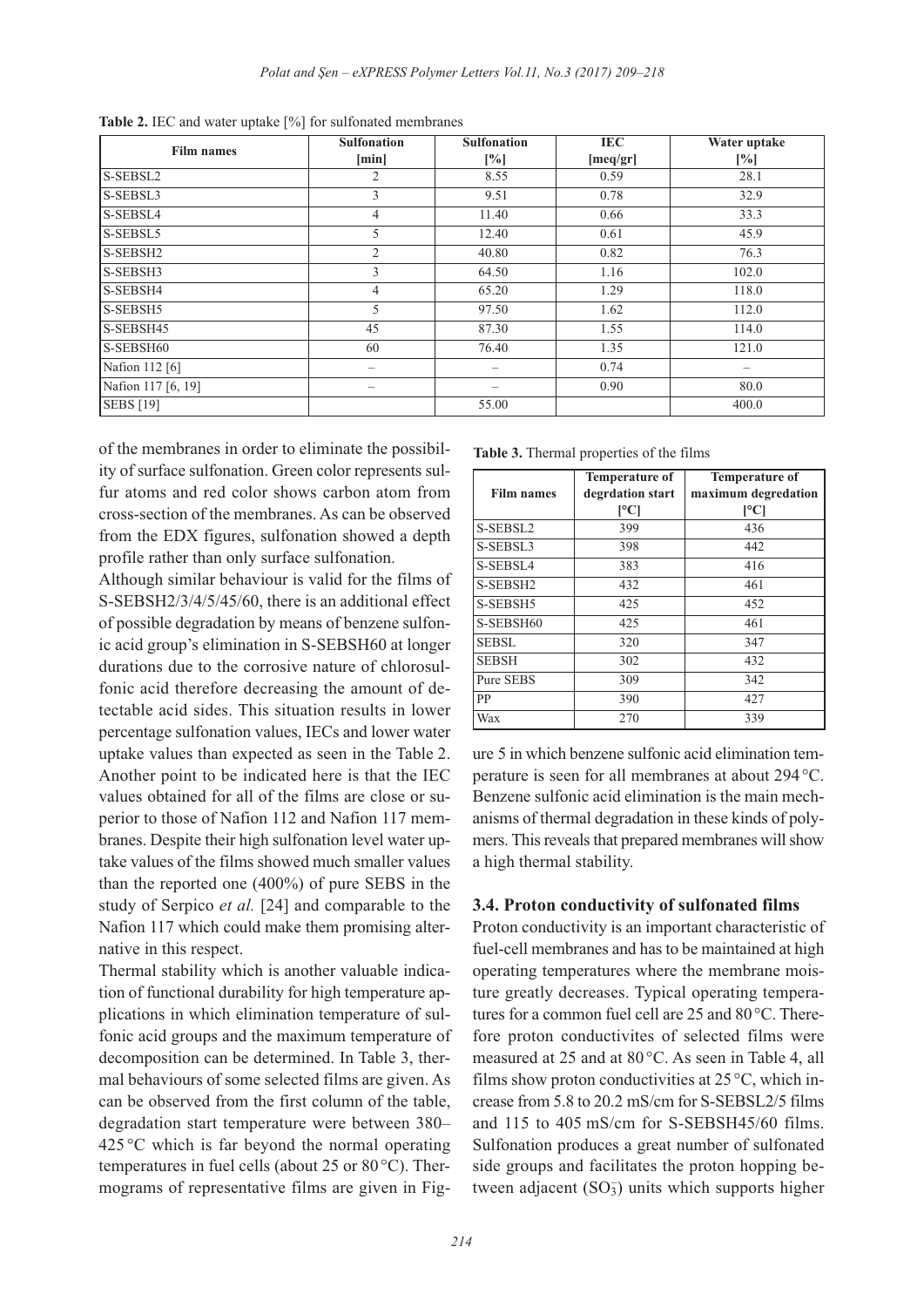| <b>Film names</b>  | <b>Sulfonation</b> | <b>Sulfonation</b> | IEC      | Water uptake |
|--------------------|--------------------|--------------------|----------|--------------|
|                    | [min]              | $\lceil\% \rceil$  | [meq/gr] | [%]          |
| S-SEBSL2           | 2                  | 8.55               | 0.59     | 28.1         |
| S-SEBSL3           | 3                  | 9.51               | 0.78     | 32.9         |
| S-SEBSL4           | $\overline{4}$     | 11.40              | 0.66     | 33.3         |
| S-SEBSL5           | 5                  | 12.40              | 0.61     | 45.9         |
| S-SEBSH2           | $\overline{2}$     | 40.80              | 0.82     | 76.3         |
| S-SEBSH3           | 3                  | 64.50              | 1.16     | 102.0        |
| S-SEBSH4           | $\overline{4}$     | 65.20              | 1.29     | 118.0        |
| S-SEBSH5           | 5                  | 97.50              | 1.62     | 112.0        |
| S-SEBSH45          | 45                 | 87.30              | 1.55     | 114.0        |
| S-SEBSH60          | 60                 | 76.40              | 1.35     | 121.0        |
| Nafion 112 [6]     | -                  |                    | 0.74     |              |
| Nafion 117 [6, 19] |                    |                    | 0.90     | 80.0         |
| <b>SEBS</b> [19]   |                    | 55.00              |          | 400.0        |

**Table 2.** IEC and water uptake [%] for sulfonated membranes

of the membranes in order to eliminate the possibility of surface sulfonation. Green color represents sulfur atoms and red color shows carbon atom from cross-section of the membranes. As can be observed from the EDX figures, sulfonation showed a depth profile rather than only surface sulfonation.

Although similar behaviour is valid for the films of S-SEBSH2/3/4/5/45/60, there is an additional effect of possible degradation by means of benzene sulfonic acid group's elimination in S-SEBSH60 at longer durations due to the corrosive nature of chlorosulfonic acid therefore decreasing the amount of detectable acid sides. This situation results in lower percentage sulfonation values, IECs and lower water uptake values than expected as seen in the Table 2. Another point to be indicated here is that the IEC values obtained for all of the films are close or superior to those of Nafion 112 and Nafion 117 membranes. Despite their high sulfonation level water uptake values of the films showed much smaller values than the reported one (400%) of pure SEBS in the study of Serpico *et al.* [24] and comparable to the Nafion 117 which could make them promising alternative in this respect.

Thermal stability which is another valuable indication of functional durability for high temperature applications in which elimination temperature of sulfonic acid groups and the maximum temperature of decomposition can be determined. In Table 3, thermal behaviours of some selected films are given. As can be observed from the first column of the table, degradation start temperature were between 380–  $425^{\circ}$ C which is far beyond the normal operating temperatures in fuel cells (about 25 or 80 °C). Thermograms of representative films are given in Fig-

**Table 3.** Thermal properties of the films

| <b>Film names</b>    | <b>Temperature of</b><br>degrdation start<br>[°C] | <b>Temperature of</b><br>maximum degredation<br>$\mathsf{C}$ |
|----------------------|---------------------------------------------------|--------------------------------------------------------------|
| S-SEBSL2             | 399                                               | 436                                                          |
| S-SEBSL3             | 398                                               | 442                                                          |
| S-SEBSL4             | 383                                               | 416                                                          |
| S-SEBSH <sub>2</sub> | 432                                               | 461                                                          |
| S-SEBSH5             | 425                                               | 452                                                          |
| S-SEBSH60            | 425                                               | 461                                                          |
| <b>SEBSL</b>         | 320                                               | 347                                                          |
| <b>SEBSH</b>         | 302                                               | 432                                                          |
| Pure SEBS            | 309                                               | 342                                                          |
| PP                   | 390                                               | 427                                                          |
| Wax                  | 270                                               | 339                                                          |

ure 5 in which benzene sulfonic acid elimination temperature is seen for all membranes at about 294 °C. Benzene sulfonic acid elimination is the main mechanisms of thermal degradation in these kinds of polymers. This reveals that prepared membranes will show a high thermal stability.

#### **3.4. Proton conductivity of sulfonated films**

Proton conductivity is an important characteristic of fuel-cell membranes and has to be maintained at high operating temperatures where the membrane moisture greatly decreases. Typical operating temperatures for a common fuel cell are 25 and 80°C. Therefore proton conductivites of selected films were measured at 25 and at 80 °C. As seen in Table 4, all films show proton conductivities at  $25^{\circ}$ C, which increase from 5.8 to 20.2 mS/cm for S-SEBSL2/5 films and 115 to 405 mS/cm for S-SEBSH45/60 films. Sulfonation produces a great number of sulfonated side groups and facilitates the proton hopping between adjacent  $(SO<sub>3</sub>)$  units which supports higher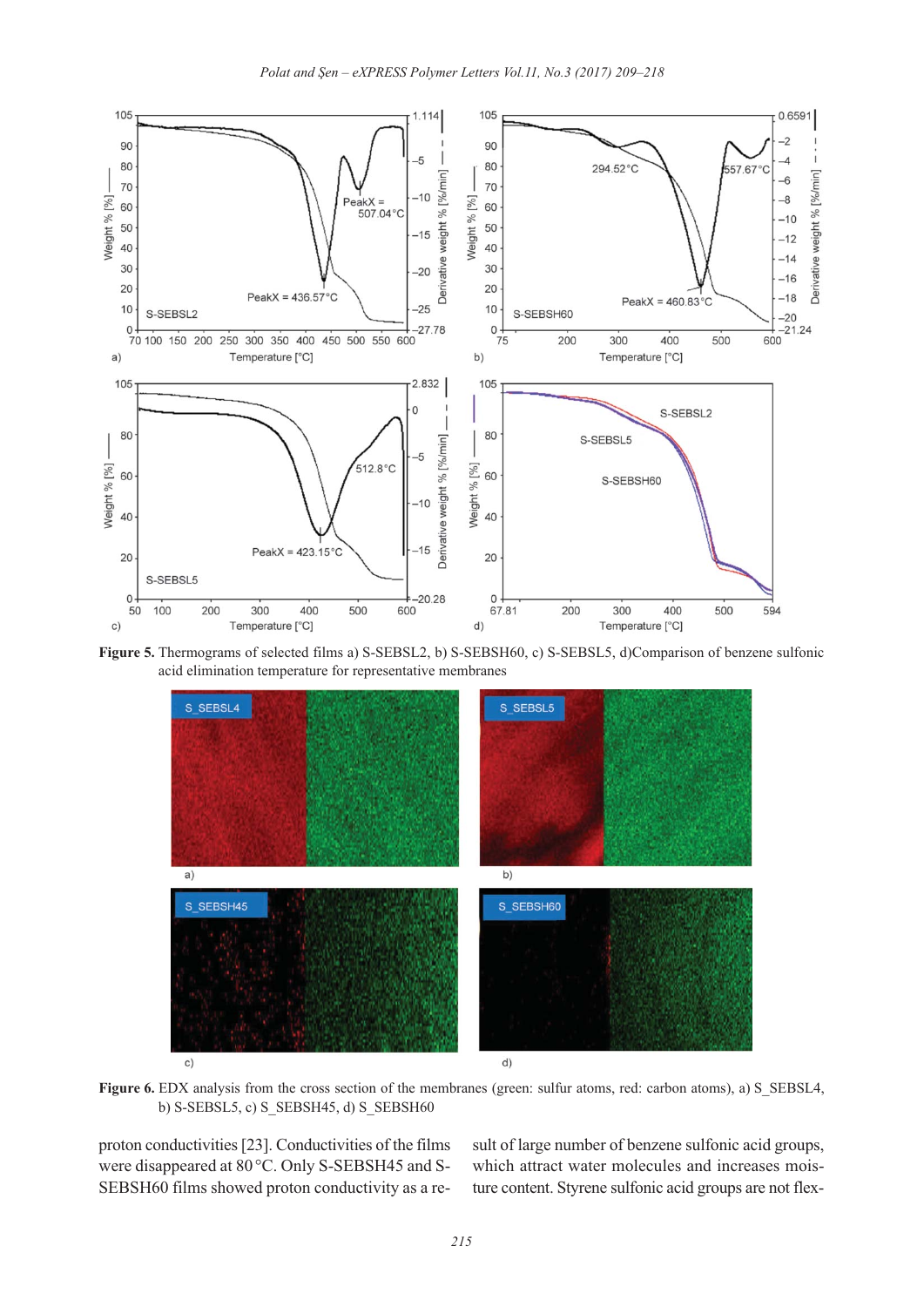

**Figure 5.** Thermograms of selected films a) S-SEBSL2, b) S-SEBSH60, c) S-SEBSL5, d)Comparison of benzene sulfonic acid elimination temperature for representative membranes



**Figure 6.** EDX analysis from the cross section of the membranes (green: sulfur atoms, red: carbon atoms), a) S\_SEBSL4, b) S-SEBSL5, c) S\_SEBSH45, d) S\_SEBSH60

proton conductivities [23]. Conductivities of the films were disappeared at 80°C. Only S-SEBSH45 and S-SEBSH60 films showed proton conductivity as a result of large number of benzene sulfonic acid groups, which attract water molecules and increases moisture content. Styrene sulfonic acid groups are not flex-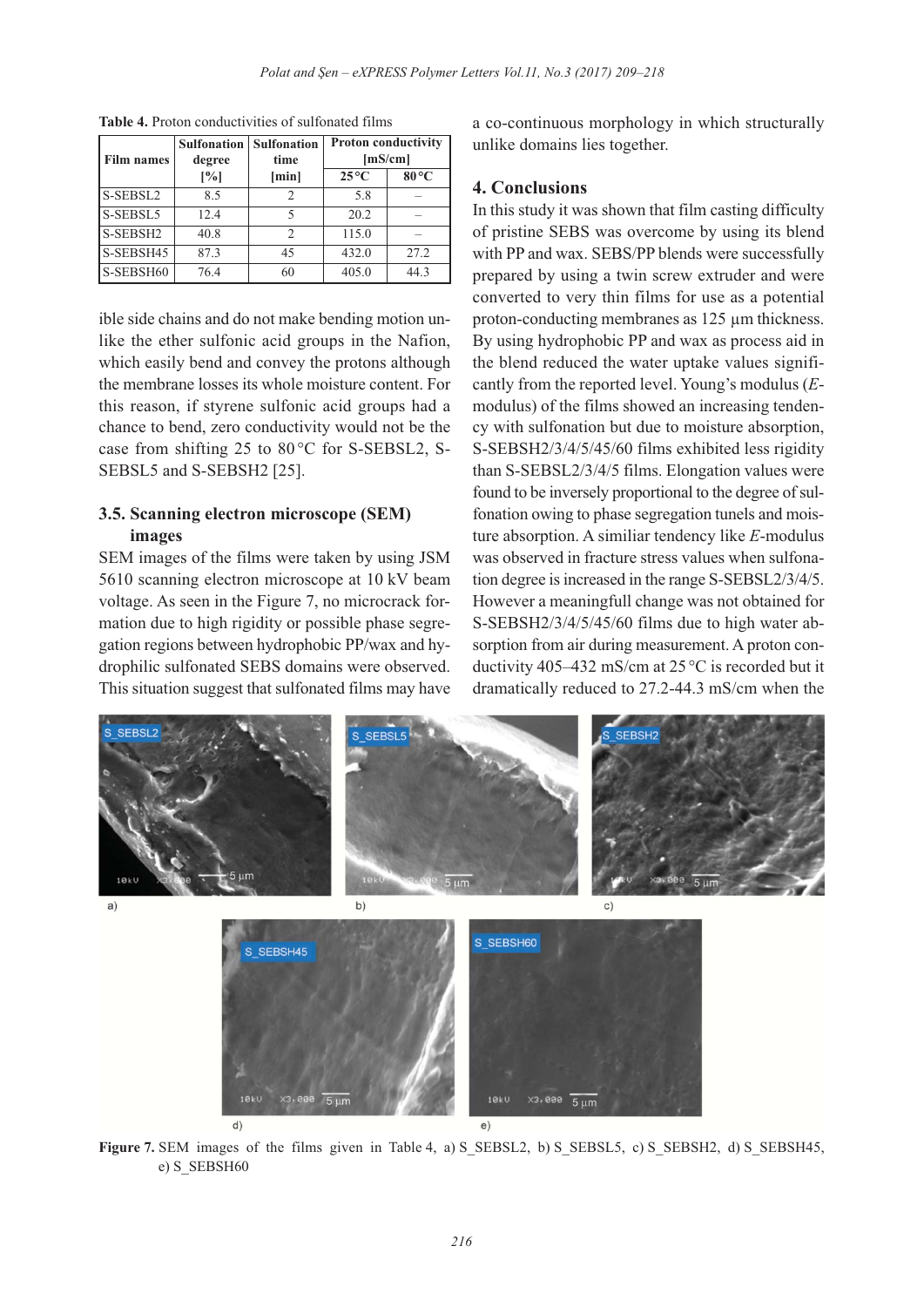| <b>Film names</b> | <b>Sulfonation</b><br>degree | <b>Sulfonation</b><br>time | <b>Proton conductivity</b><br>[mS/cm] |                |
|-------------------|------------------------------|----------------------------|---------------------------------------|----------------|
|                   | [%]                          | [min]                      | $25^{\circ}$ C                        | $80^{\circ}$ C |
| S-SEBSL2          | 8.5                          |                            | 5.8                                   |                |
| S-SEBSL5          | 12.4                         | 5                          | 20.2                                  |                |
| S-SEBSH2          | 40.8                         | $\mathfrak{D}$             | 115.0                                 |                |
| S-SEBSH45         | 87.3                         | 45                         | 432.0                                 | 27.2           |
| S-SEBSH60         | 76.4                         | 60                         | 405.0                                 | 44.3           |

**Table 4.** Proton conductivities of sulfonated films

ible side chains and do not make bending motion unlike the ether sulfonic acid groups in the Nafion, which easily bend and convey the protons although the membrane losses its whole moisture content. For this reason, if styrene sulfonic acid groups had a chance to bend, zero conductivity would not be the case from shifting 25 to 80 °C for S-SEBSL2, S-SEBSL5 and S-SEBSH2 [25].

## **3.5. Scanning electron microscope (SEM) images**

SEM images of the films were taken by using JSM 5610 scanning electron microscope at 10 kV beam voltage. As seen in the Figure 7, no microcrack formation due to high rigidity or possible phase segregation regions between hydrophobic PP/wax and hydrophilic sulfonated SEBS domains were observed. This situation suggest that sulfonated films may have a co-continuous morphology in which structurally unlike domains lies together.

## **4. Conclusions**

In this study it was shown that film casting difficulty of pristine SEBS was overcome by using its blend with PP and wax. SEBS/PP blends were successfully prepared by using a twin screw extruder and were converted to very thin films for use as a potential proton-conducting membranes as 125 µm thickness. By using hydrophobic PP and wax as process aid in the blend reduced the water uptake values significantly from the reported level. Young's modulus (*E*modulus) of the films showed an increasing tendency with sulfonation but due to moisture absorption, S-SEBSH2/3/4/5/45/60 films exhibited less rigidity than S-SEBSL2/3/4/5 films. Elongation values were found to be inversely proportional to the degree of sulfonation owing to phase segregation tunels and moisture absorption. A similiar tendency like *E*-modulus was observed in fracture stress values when sulfonation degree is increased in the range S-SEBSL2/3/4/5. However a meaningfull change was not obtained for S-SEBSH2/3/4/5/45/60 films due to high water absorption from air during measurement. A proton conductivity 405–432 mS/cm at 25 °C is recorded but it dramatically reduced to 27.2-44.3 mS/cm when the



**Figure 7.** SEM images of the films given in Table 4, a) S\_SEBSL2, b) S\_SEBSL5, c) S\_SEBSH2, d) S\_SEBSH45, e) S\_SEBSH60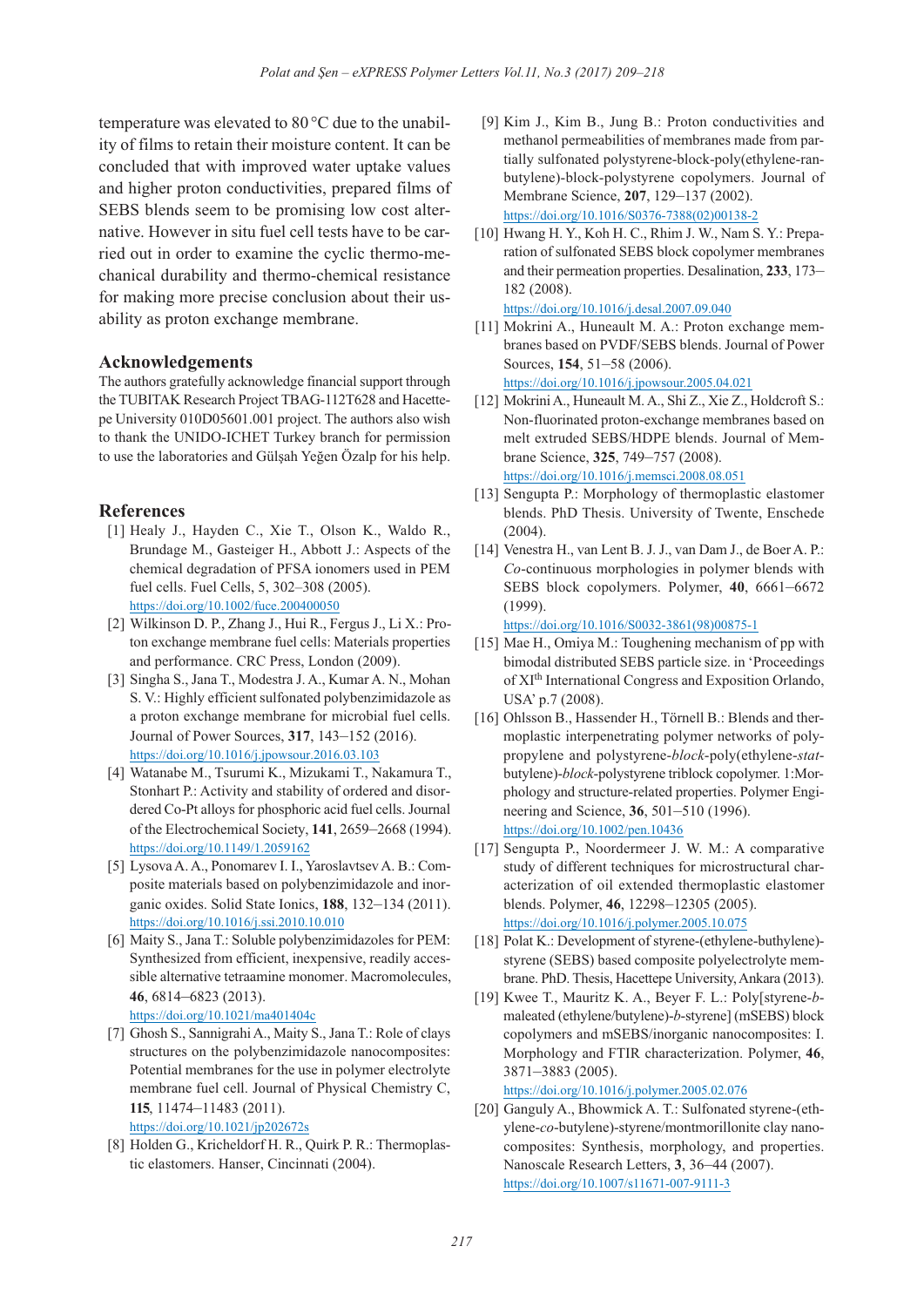temperature was elevated to 80 °C due to the unability of films to retain their moisture content. It can be concluded that with improved water uptake values and higher proton conductivities, prepared films of SEBS blends seem to be promising low cost alternative. However in situ fuel cell tests have to be carried out in order to examine the cyclic thermo-mechanical durability and thermo-chemical resistance for making more precise conclusion about their usability as proton exchange membrane.

#### **Acknowledgements**

The authors gratefully acknowledge financial support through the TUBITAK Research Project TBAG-112T628 and Hacettepe University 010D05601.001 project. The authors also wish to thank the UNIDO-ICHET Turkey branch for permission to use the laboratories and Gülşah Yeğen Özalp for his help.

#### **References**

- [1] Healy J., Hayden C., Xie T., Olson K., Waldo R., Brundage M., Gasteiger H., Abbott J.: Aspects of the chemical degradation of PFSA ionomers used in PEM fuel cells. Fuel Cells, 5, 302–308 (2005). https://doi.org/10.1002/fuce.200400050
- [2] Wilkinson D. P., Zhang J., Hui R., Fergus J., Li X.: Proton exchange membrane fuel cells: Materials properties and performance. CRC Press, London (2009).
- [3] Singha S., Jana T., Modestra J. A., Kumar A. N., Mohan S. V.: Highly efficient sulfonated polybenzimidazole as a proton exchange membrane for microbial fuel cells. Journal of Power Sources, **317**, 143–152 (2016). https://doi.org/10.1016/j.jpowsour.2016.03.103
- [4] Watanabe M., Tsurumi K., Mizukami T., Nakamura T., Stonhart P.: Activity and stability of ordered and disordered Co-Pt alloys for phosphoric acid fuel cells. Journal of the Electrochemical Society, **141**, 2659–2668 (1994). https://doi.org/10.1149/1.2059162
- [5] Lysova A. A., Ponomarev I. I., Yaroslavtsev A. B.: Composite materials based on polybenzimidazole and inorganic oxides. Solid State Ionics, **188**, 132–134 (2011). https://doi.org/10.1016/j.ssi.2010.10.010
- [6] Maity S., Jana T.: Soluble polybenzimidazoles for PEM: Synthesized from efficient, inexpensive, readily accessible alternative tetraamine monomer. Macromolecules, **46**, 6814–6823 (2013). https://doi.org/10.1021/ma401404c
- [7] Ghosh S., Sannigrahi A., Maity S., Jana T.: Role of clays structures on the polybenzimidazole nanocomposites: Potential membranes for the use in polymer electrolyte membrane fuel cell. Journal of Physical Chemistry C, **115**, 11474–11483 (2011). https://doi.org/10.1021/jp202672s
- [8] Holden G., Kricheldorf H. R., Quirk P. R.: Thermoplastic elastomers. Hanser, Cincinnati (2004).
- [9] Kim J., Kim B., Jung B.: Proton conductivities and methanol permeabilities of membranes made from partially sulfonated polystyrene-block-poly(ethylene-ranbutylene)-block-polystyrene copolymers. Journal of Membrane Science, **207**, 129–137 (2002). [https://doi.org/10.1016/S0376-7388\(02\)00138-2](https://doi.org/10.1016/S0376-7388(02)00138-2)
- [10] Hwang H. Y., Koh H. C., Rhim J. W., Nam S. Y.: Preparation of sulfonated SEBS block copolymer membranes and their permeation properties. Desalination, **233**, 173– 182 (2008).

```
https://doi.org/10.1016/j.desal.2007.09.040
```
- [11] Mokrini A., Huneault M. A.: Proton exchange membranes based on PVDF/SEBS blends. Journal of Power Sources, **154**, 51–58 (2006). https://doi.org/10.1016/j.jpowsour.2005.04.021
- [12] Mokrini A., Huneault M. A., Shi Z., Xie Z., Holdcroft S.: Non-fluorinated proton-exchange membranes based on melt extruded SEBS/HDPE blends. Journal of Membrane Science, **325**, 749–757 (2008). https://doi.org/10.1016/j.memsci.2008.08.051
- [13] Sengupta P.: Morphology of thermoplastic elastomer blends. PhD Thesis. University of Twente, Enschede (2004).
- [14] Venestra H., van Lent B. J. J., van Dam J., de Boer A. P.: *Co*-continuous morphologies in polymer blends with SEBS block copolymers. Polymer, **40**, 6661–6672 (1999).

[https://doi.org/10.1016/S0032-3861\(98\)00875-1](https://doi.org/10.1016/S0032-3861(98)00875-1)

- [15] Mae H., Omiya M.: Toughening mechanism of pp with bimodal distributed SEBS particle size. in 'Proceedings of XIth International Congress and Exposition Orlando, USA' p.7 (2008).
- [16] Ohlsson B., Hassender H., Törnell B.: Blends and thermoplastic interpenetrating polymer networks of polypropylene and polystyrene-*block*-poly(ethylene-*stat*butylene)-*block*-polystyrene triblock copolymer. 1:Morphology and structure-related properties. Polymer Engineering and Science, **36**, 501–510 (1996). https://doi.org/10.1002/pen.10436
- [17] Sengupta P., Noordermeer J. W. M.: A comparative study of different techniques for microstructural characterization of oil extended thermoplastic elastomer blends. Polymer, **46**, 12298–12305 (2005). https://doi.org/10.1016/j.polymer.2005.10.075
- [18] Polat K.: Development of styrene-(ethylene-buthylene)styrene (SEBS) based composite polyelectrolyte membrane. PhD. Thesis, Hacettepe University, Ankara (2013).
- [19] Kwee T., Mauritz K. A., Beyer F. L.: Poly[styrene-*b*maleated (ethylene/butylene)-*b*-styrene] (mSEBS) block copolymers and mSEBS/inorganic nanocomposites: I. Morphology and FTIR characterization. Polymer, **46**, 3871–3883 (2005).

https://doi.org/10.1016/j.polymer.2005.02.076

[20] Ganguly A., Bhowmick A. T.: Sulfonated styrene-(ethylene-*co*-butylene)-styrene/montmorillonite clay nanocomposites: Synthesis, morphology, and properties. Nanoscale Research Letters, **3**, 36–44 (2007). https://doi.org/10.1007/s11671-007-9111-3